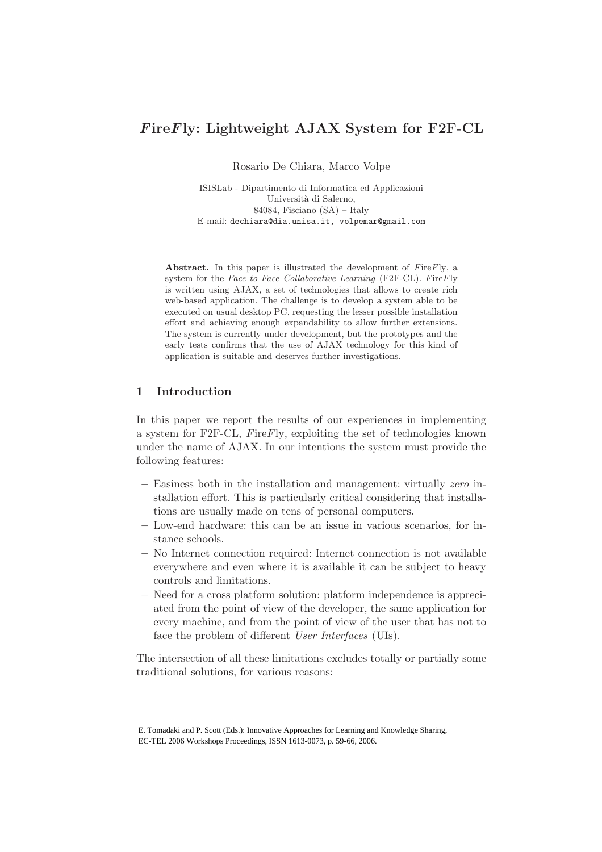# FireFly: Lightweight AJAX System for F2F-CL

Rosario De Chiara, Marco Volpe

ISISLab - Dipartimento di Informatica ed Applicazioni Università di Salerno, 84084, Fisciano (SA) – Italy E-mail: dechiara@dia.unisa.it, volpemar@gmail.com

Abstract. In this paper is illustrated the development of FireFly, a system for the Face to Face Collaborative Learning (F2F-CL). FireFly is written using AJAX, a set of technologies that allows to create rich web-based application. The challenge is to develop a system able to be executed on usual desktop PC, requesting the lesser possible installation effort and achieving enough expandability to allow further extensions. The system is currently under development, but the prototypes and the early tests confirms that the use of AJAX technology for this kind of application is suitable and deserves further investigations.

# 1 Introduction

In this paper we report the results of our experiences in implementing a system for F2F-CL, FireFly, exploiting the set of technologies known under the name of AJAX. In our intentions the system must provide the following features:

- Easiness both in the installation and management: virtually zero installation effort. This is particularly critical considering that installations are usually made on tens of personal computers.
- Low-end hardware: this can be an issue in various scenarios, for instance schools.
- No Internet connection required: Internet connection is not available everywhere and even where it is available it can be subject to heavy controls and limitations.
- Need for a cross platform solution: platform independence is appreciated from the point of view of the developer, the same application for every machine, and from the point of view of the user that has not to face the problem of different User Interfaces (UIs).

The intersection of all these limitations excludes totally or partially some traditional solutions, for various reasons:

E. Tomadaki and P. Scott (Eds.): Innovative Approaches for Learning and Knowledge Sharing, EC-TEL 2006 Workshops Proceedings, ISSN 1613-0073, p. 59-66, 2006.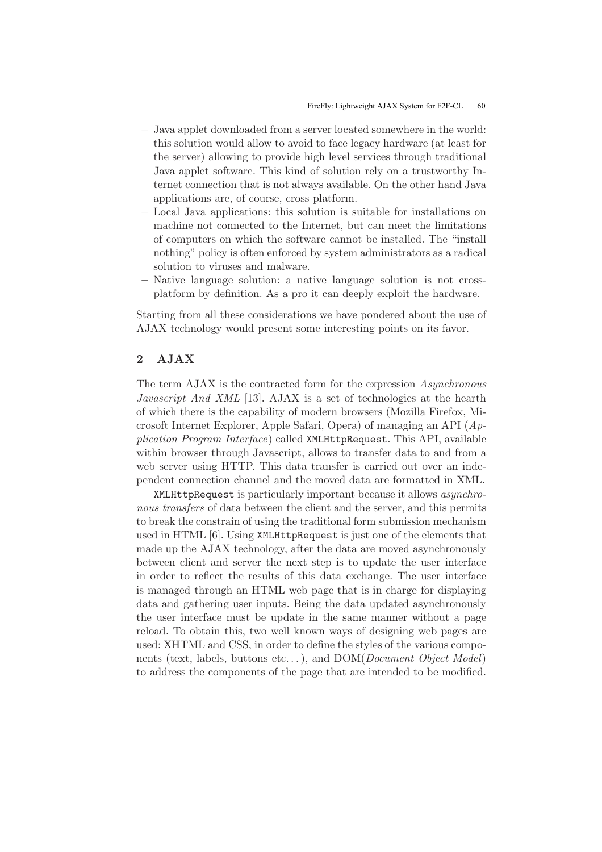- Java applet downloaded from a server located somewhere in the world: this solution would allow to avoid to face legacy hardware (at least for the server) allowing to provide high level services through traditional Java applet software. This kind of solution rely on a trustworthy Internet connection that is not always available. On the other hand Java applications are, of course, cross platform.
- Local Java applications: this solution is suitable for installations on machine not connected to the Internet, but can meet the limitations of computers on which the software cannot be installed. The "install nothing" policy is often enforced by system administrators as a radical solution to viruses and malware.
- Native language solution: a native language solution is not crossplatform by definition. As a pro it can deeply exploit the hardware.

Starting from all these considerations we have pondered about the use of AJAX technology would present some interesting points on its favor.

# 2 AJAX

The term AJAX is the contracted form for the expression Asynchronous Javascript And XML [13]. AJAX is a set of technologies at the hearth of which there is the capability of modern browsers (Mozilla Firefox, Microsoft Internet Explorer, Apple Safari, Opera) of managing an API (Application Program Interface) called XMLHttpRequest. This API, available within browser through Javascript, allows to transfer data to and from a web server using HTTP. This data transfer is carried out over an independent connection channel and the moved data are formatted in XML.

XMLHttpRequest is particularly important because it allows asynchronous transfers of data between the client and the server, and this permits to break the constrain of using the traditional form submission mechanism used in HTML [6]. Using XMLHttpRequest is just one of the elements that made up the AJAX technology, after the data are moved asynchronously between client and server the next step is to update the user interface in order to reflect the results of this data exchange. The user interface is managed through an HTML web page that is in charge for displaying data and gathering user inputs. Being the data updated asynchronously the user interface must be update in the same manner without a page reload. To obtain this, two well known ways of designing web pages are used: XHTML and CSS, in order to define the styles of the various components (text, labels, buttons etc...), and  $DOM(Document\ Object\ Model)$ to address the components of the page that are intended to be modified.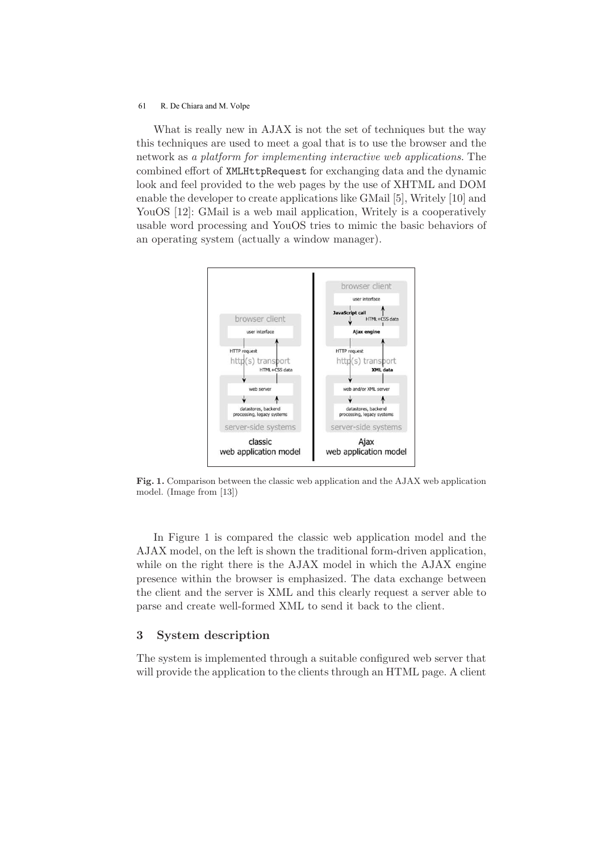#### 61 R. De Chiara and M. Volpe

What is really new in AJAX is not the set of techniques but the way this techniques are used to meet a goal that is to use the browser and the network as a platform for implementing interactive web applications. The combined effort of XMLHttpRequest for exchanging data and the dynamic look and feel provided to the web pages by the use of XHTML and DOM enable the developer to create applications like GMail [5], Writely [10] and YouOS [12]: GMail is a web mail application, Writely is a cooperatively usable word processing and YouOS tries to mimic the basic behaviors of an operating system (actually a window manager).



Fig. 1. Comparison between the classic web application and the AJAX web application model. (Image from [13])

In Figure 1 is compared the classic web application model and the AJAX model, on the left is shown the traditional form-driven application, while on the right there is the AJAX model in which the AJAX engine presence within the browser is emphasized. The data exchange between the client and the server is XML and this clearly request a server able to parse and create well-formed XML to send it back to the client.

### 3 System description

The system is implemented through a suitable configured web server that will provide the application to the clients through an HTML page. A client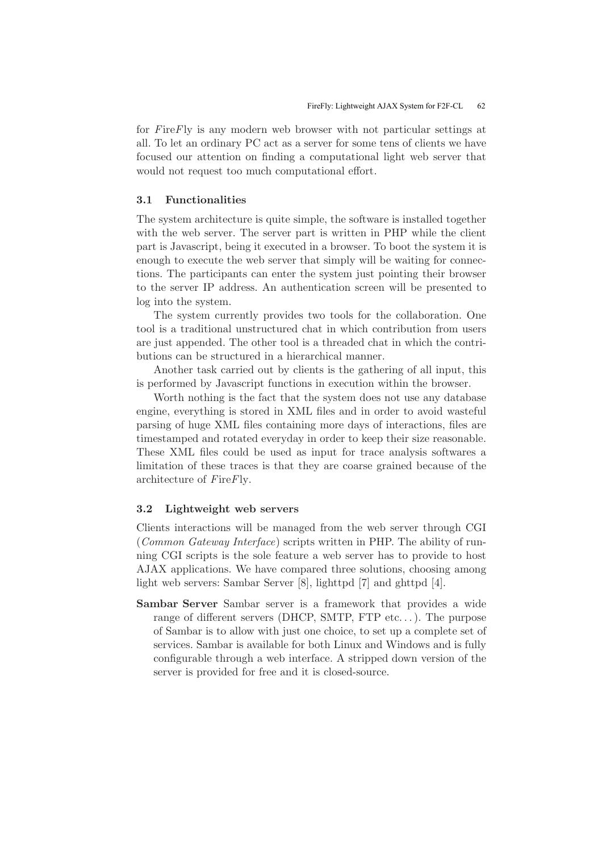for FireFly is any modern web browser with not particular settings at all. To let an ordinary PC act as a server for some tens of clients we have focused our attention on finding a computational light web server that would not request too much computational effort.

### 3.1 Functionalities

The system architecture is quite simple, the software is installed together with the web server. The server part is written in PHP while the client part is Javascript, being it executed in a browser. To boot the system it is enough to execute the web server that simply will be waiting for connections. The participants can enter the system just pointing their browser to the server IP address. An authentication screen will be presented to log into the system.

The system currently provides two tools for the collaboration. One tool is a traditional unstructured chat in which contribution from users are just appended. The other tool is a threaded chat in which the contributions can be structured in a hierarchical manner.

Another task carried out by clients is the gathering of all input, this is performed by Javascript functions in execution within the browser.

Worth nothing is the fact that the system does not use any database engine, everything is stored in XML files and in order to avoid wasteful parsing of huge XML files containing more days of interactions, files are timestamped and rotated everyday in order to keep their size reasonable. These XML files could be used as input for trace analysis softwares a limitation of these traces is that they are coarse grained because of the architecture of FireFly.

#### 3.2 Lightweight web servers

Clients interactions will be managed from the web server through CGI (Common Gateway Interface) scripts written in PHP. The ability of running CGI scripts is the sole feature a web server has to provide to host AJAX applications. We have compared three solutions, choosing among light web servers: Sambar Server [8], lighttpd [7] and ghttpd [4].

Sambar Server Sambar server is a framework that provides a wide range of different servers (DHCP, SMTP, FTP etc...). The purpose of Sambar is to allow with just one choice, to set up a complete set of services. Sambar is available for both Linux and Windows and is fully configurable through a web interface. A stripped down version of the server is provided for free and it is closed-source.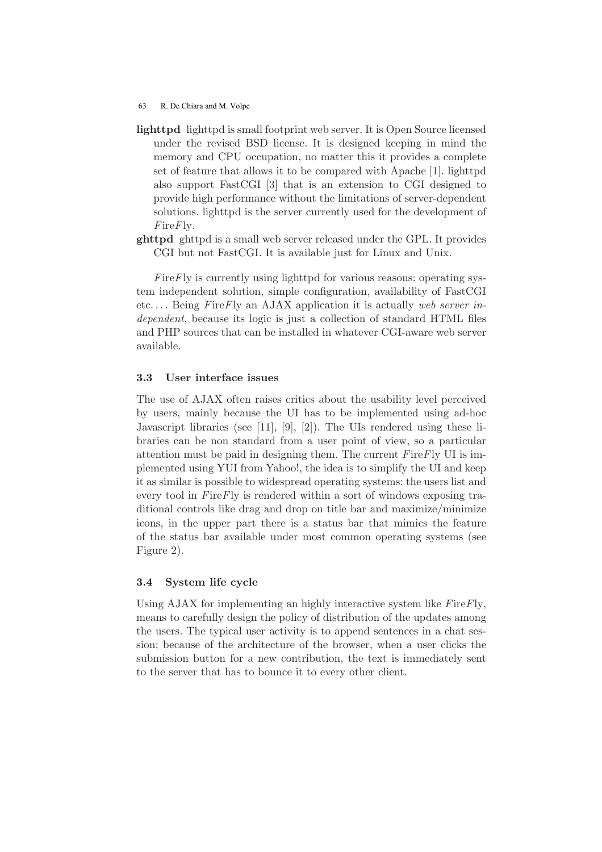#### 63 R. De Chiara and M. Volpe

- lighttpd lighttpd is small footprint web server. It is Open Source licensed under the revised BSD license. It is designed keeping in mind the memory and CPU occupation, no matter this it provides a complete set of feature that allows it to be compared with Apache [1]. lighttpd also support FastCGI [3] that is an extension to CGI designed to provide high performance without the limitations of server-dependent solutions. lighttpd is the server currently used for the development of FireFly.
- ghttpd ghttpd is a small web server released under the GPL. It provides CGI but not FastCGI. It is available just for Linux and Unix.

 $FireFly$  is currently using lighttpd for various reasons: operating system independent solution, simple configuration, availability of FastCGI etc.... Being FireFly an AJAX application it is actually web server independent, because its logic is just a collection of standard HTML files and PHP sources that can be installed in whatever CGI-aware web server available.

### 3.3 User interface issues

The use of AJAX often raises critics about the usability level perceived by users, mainly because the UI has to be implemented using ad-hoc Javascript libraries (see [11], [9], [2]). The UIs rendered using these libraries can be non standard from a user point of view, so a particular attention must be paid in designing them. The current  $F$ ire $F$ ly UI is implemented using YUI from Yahoo!, the idea is to simplify the UI and keep it as similar is possible to widespread operating systems: the users list and every tool in FireFly is rendered within a sort of windows exposing traditional controls like drag and drop on title bar and maximize/minimize icons, in the upper part there is a status bar that mimics the feature of the status bar available under most common operating systems (see Figure 2).

## 3.4 System life cycle

Using  $A JAX$  for implementing an highly interactive system like  $F$ ire $F$ ly, means to carefully design the policy of distribution of the updates among the users. The typical user activity is to append sentences in a chat session; because of the architecture of the browser, when a user clicks the submission button for a new contribution, the text is immediately sent to the server that has to bounce it to every other client.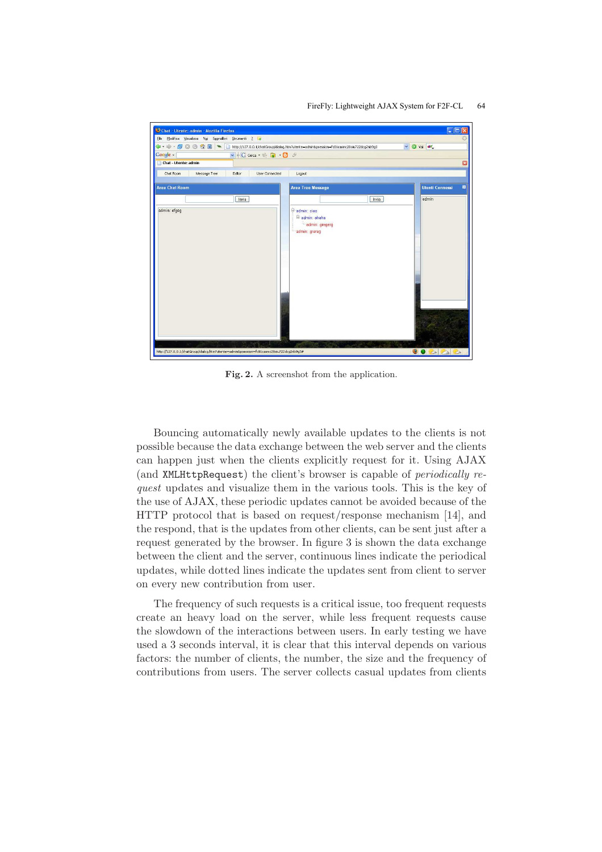#### FireFly: Lightweight AJAX System for F2F-CL 64



Fig. 2. A screenshot from the application.

Bouncing automatically newly available updates to the clients is not possible because the data exchange between the web server and the clients can happen just when the clients explicitly request for it. Using AJAX (and XMLHttpRequest) the client's browser is capable of periodically request updates and visualize them in the various tools. This is the key of the use of AJAX, these periodic updates cannot be avoided because of the HTTP protocol that is based on request/response mechanism [14], and the respond, that is the updates from other clients, can be sent just after a request generated by the browser. In figure 3 is shown the data exchange between the client and the server, continuous lines indicate the periodical updates, while dotted lines indicate the updates sent from client to server on every new contribution from user.

The frequency of such requests is a critical issue, too frequent requests create an heavy load on the server, while less frequent requests cause the slowdown of the interactions between users. In early testing we have used a 3 seconds interval, it is clear that this interval depends on various factors: the number of clients, the number, the size and the frequency of contributions from users. The server collects casual updates from clients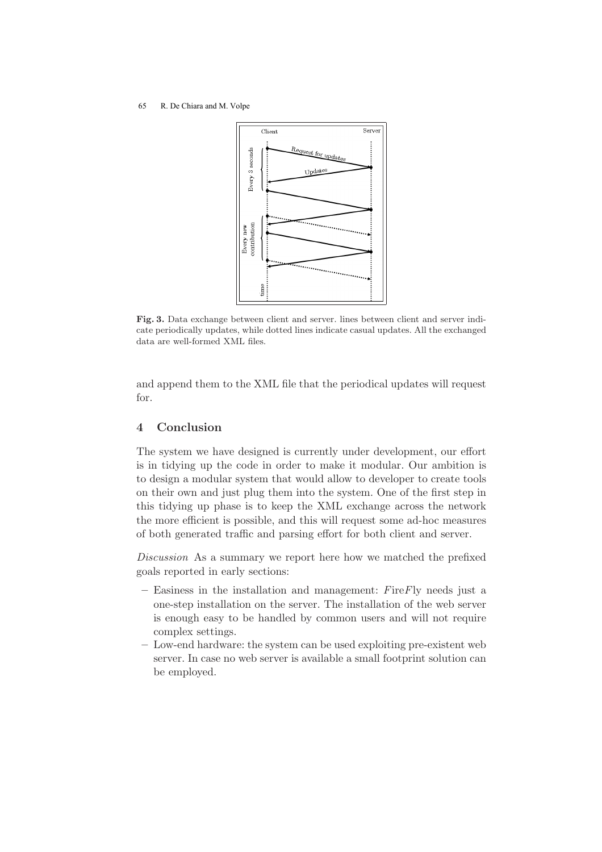#### 65 R. De Chiara and M. Volpe



Fig. 3. Data exchange between client and server. lines between client and server indicate periodically updates, while dotted lines indicate casual updates. All the exchanged data are well-formed XML files.

and append them to the XML file that the periodical updates will request for.

# 4 Conclusion

The system we have designed is currently under development, our effort is in tidying up the code in order to make it modular. Our ambition is to design a modular system that would allow to developer to create tools on their own and just plug them into the system. One of the first step in this tidying up phase is to keep the XML exchange across the network the more efficient is possible, and this will request some ad-hoc measures of both generated traffic and parsing effort for both client and server.

Discussion As a summary we report here how we matched the prefixed goals reported in early sections:

- $-$  Easiness in the installation and management: FireFly needs just a one-step installation on the server. The installation of the web server is enough easy to be handled by common users and will not require complex settings.
- Low-end hardware: the system can be used exploiting pre-existent web server. In case no web server is available a small footprint solution can be employed.